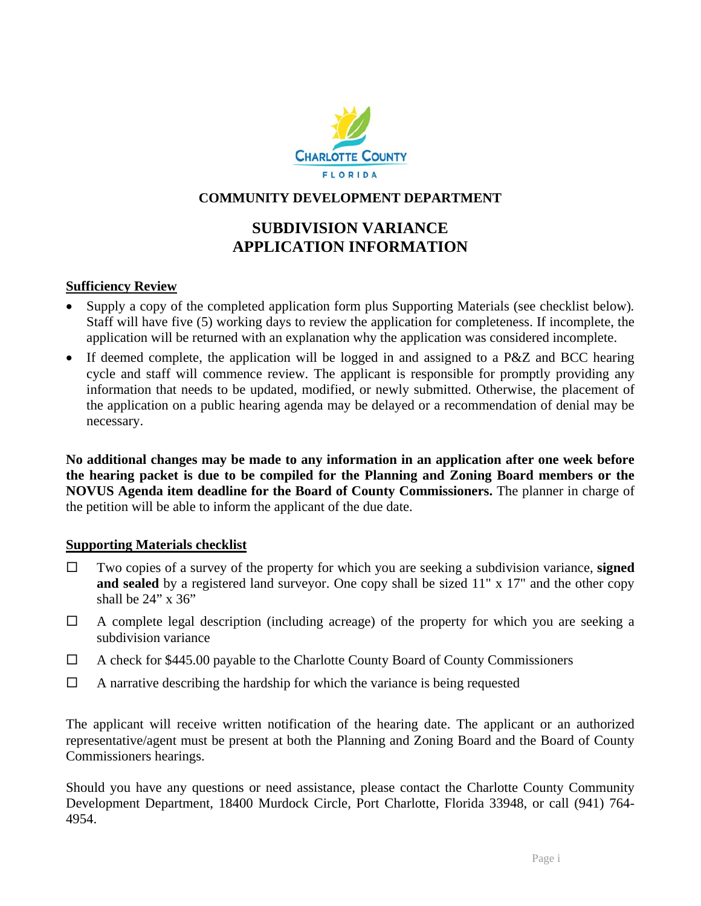

# **COMMUNITY DEVELOPMENT DEPARTMENT**

# **SUBDIVISION VARIANCE APPLICATION INFORMATION**

### **Sufficiency Review**

- Supply a copy of the completed application form plus Supporting Materials (see checklist below)*.* Staff will have five (5) working days to review the application for completeness. If incomplete, the application will be returned with an explanation why the application was considered incomplete.
- If deemed complete, the application will be logged in and assigned to a P&Z and BCC hearing cycle and staff will commence review. The applicant is responsible for promptly providing any information that needs to be updated, modified, or newly submitted. Otherwise, the placement of the application on a public hearing agenda may be delayed or a recommendation of denial may be necessary.

**No additional changes may be made to any information in an application after one week before the hearing packet is due to be compiled for the Planning and Zoning Board members or the NOVUS Agenda item deadline for the Board of County Commissioners.** The planner in charge of the petition will be able to inform the applicant of the due date.

#### **Supporting Materials checklist**

- Two copies of a survey of the property for which you are seeking a subdivision variance, **signed**  and sealed by a registered land surveyor. One copy shall be sized 11" x 17" and the other copy shall be 24" x 36"
- $\Box$  A complete legal description (including acreage) of the property for which you are seeking a subdivision variance
- $\Box$  A check for \$445.00 payable to the Charlotte County Board of County Commissioners
- $\Box$  A narrative describing the hardship for which the variance is being requested

The applicant will receive written notification of the hearing date. The applicant or an authorized representative/agent must be present at both the Planning and Zoning Board and the Board of County Commissioners hearings.

Should you have any questions or need assistance, please contact the Charlotte County Community Development Department, 18400 Murdock Circle, Port Charlotte, Florida 33948, or call (941) 764- 4954.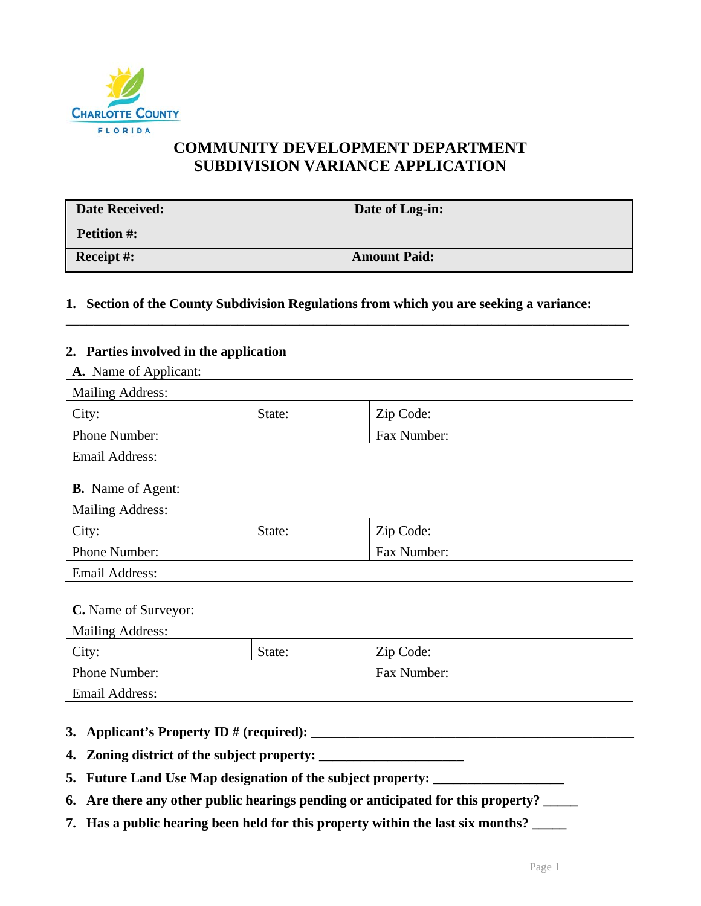

# **COMMUNITY DEVELOPMENT DEPARTMENT SUBDIVISION VARIANCE APPLICATION**

| <b>Date Received:</b> | Date of Log-in:     |
|-----------------------|---------------------|
| <b>Petition #:</b>    |                     |
| <b>Receipt #:</b>     | <b>Amount Paid:</b> |

\_\_\_\_\_\_\_\_\_\_\_\_\_\_\_\_\_\_\_\_\_\_\_\_\_\_\_\_\_\_\_\_\_\_\_\_\_\_\_\_\_\_\_\_\_\_\_\_\_\_\_\_\_\_\_\_\_\_\_\_\_\_\_\_\_\_\_\_\_\_\_\_\_\_\_\_\_\_\_\_\_\_

## **1. Section of the County Subdivision Regulations from which you are seeking a variance:**

#### **2. Parties involved in the application**

| A. Name of Applicant:                                       |        |             |  |  |
|-------------------------------------------------------------|--------|-------------|--|--|
| <b>Mailing Address:</b>                                     |        |             |  |  |
| City:                                                       | State: | Zip Code:   |  |  |
| Phone Number:                                               |        | Fax Number: |  |  |
| <b>Email Address:</b>                                       |        |             |  |  |
| <b>B.</b> Name of Agent:                                    |        |             |  |  |
| <b>Mailing Address:</b>                                     |        |             |  |  |
| City:                                                       | State: | Zip Code:   |  |  |
| Phone Number:                                               |        | Fax Number: |  |  |
| <b>Email Address:</b>                                       |        |             |  |  |
| C. Name of Surveyor:                                        |        |             |  |  |
| <b>Mailing Address:</b>                                     |        |             |  |  |
| City:                                                       | State: | Zip Code:   |  |  |
| Phone Number:                                               |        | Fax Number: |  |  |
| <b>Email Address:</b>                                       |        |             |  |  |
| 4.                                                          |        |             |  |  |
| 5. Future Land Use Map designation of the subject property: |        |             |  |  |

- **6. Are there any other public hearings pending or anticipated for this property? \_\_\_\_\_**
- **7. Has a public hearing been held for this property within the last six months? \_\_\_\_\_**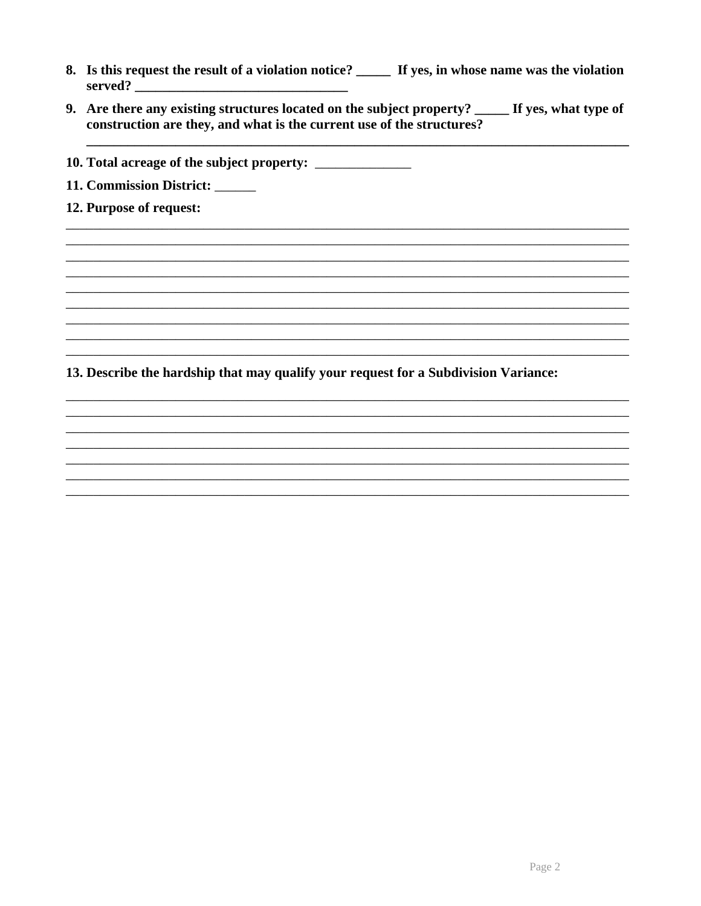- 8. Is this request the result of a violation notice? \_\_\_\_\_ If yes, in whose name was the violation served?
- 9. Are there any existing structures located on the subject property? \_\_\_\_\_ If yes, what type of construction are they, and what is the current use of the structures?
- 10. Total acreage of the subject property: \_\_\_\_\_\_\_\_\_\_\_\_\_\_\_
- 11. Commission District: \_\_\_\_\_
- 12. Purpose of request:

13. Describe the hardship that may qualify your request for a Subdivision Variance: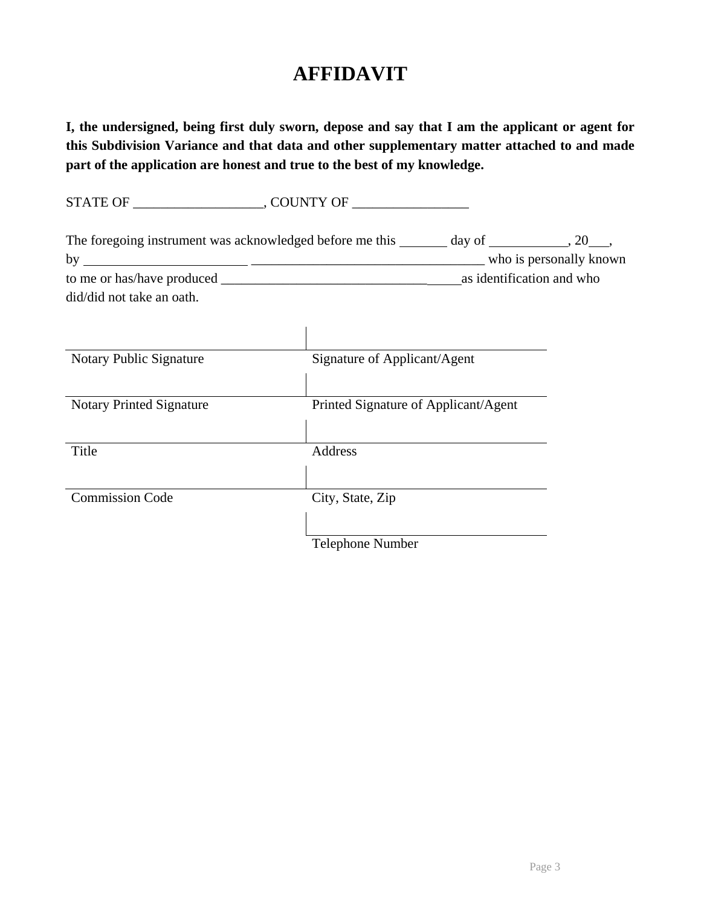# **AFFIDAVIT**

**I, the undersigned, being first duly sworn, depose and say that I am the applicant or agent for this Subdivision Variance and that data and other supplementary matter attached to and made part of the application are honest and true to the best of my knowledge.** 

STATE OF \_\_\_\_\_\_\_\_\_\_\_\_\_\_\_\_\_\_\_, COUNTY OF \_\_\_\_\_\_\_\_\_\_\_\_\_\_\_\_\_ The foregoing instrument was acknowledged before me this  $\_\_\_\_$  day of  $\_\_\_\_\_$ , 20  $\_\_\_\_$ by \_\_\_\_\_\_\_\_\_\_\_\_\_\_\_\_\_\_\_\_\_\_\_\_\_\_\_\_\_\_\_\_\_\_ who is personally known to me or has/have produced \_\_\_\_\_\_\_\_\_\_\_\_\_\_\_\_\_\_\_\_\_\_\_\_\_\_\_\_\_\_ as identification and who did/did not take an oath.  $\overline{\phantom{a}}$ 

| Notary Public Signature         | Signature of Applicant/Agent         |
|---------------------------------|--------------------------------------|
| <b>Notary Printed Signature</b> | Printed Signature of Applicant/Agent |
| Title                           | Address                              |
| <b>Commission Code</b>          | City, State, Zip                     |
|                                 | <b>Telephone Number</b>              |